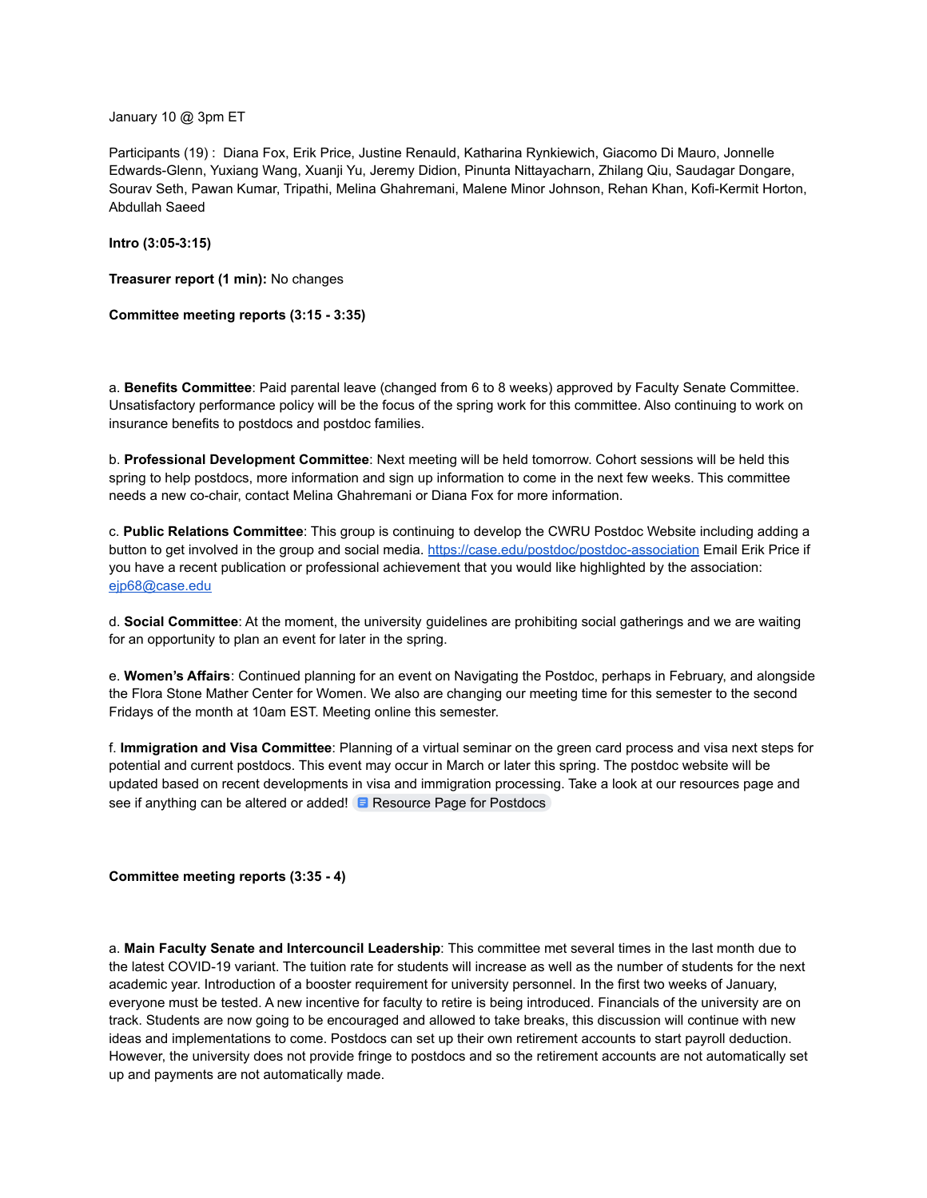January 10 @ 3pm ET

Participants (19) : Diana Fox, Erik Price, Justine Renauld, Katharina Rynkiewich, Giacomo Di Mauro, Jonnelle Edwards-Glenn, Yuxiang Wang, Xuanji Yu, Jeremy Didion, Pinunta Nittayacharn, Zhilang Qiu, Saudagar Dongare, Sourav Seth, Pawan Kumar, Tripathi, Melina Ghahremani, Malene Minor Johnson, Rehan Khan, Kofi-Kermit Horton, Abdullah Saeed

**Intro (3:05-3:15)**

**Treasurer report (1 min):** No changes

**Committee meeting reports (3:15 - 3:35)**

a. **Benefits Committee**: Paid parental leave (changed from 6 to 8 weeks) approved by Faculty Senate Committee. Unsatisfactory performance policy will be the focus of the spring work for this committee. Also continuing to work on insurance benefits to postdocs and postdoc families.

b. **Professional Development Committee**: Next meeting will be held tomorrow. Cohort sessions will be held this spring to help postdocs, more information and sign up information to come in the next few weeks. This committee needs a new co-chair, contact Melina Ghahremani or Diana Fox for more information.

c. **Public Relations Committee**: This group is continuing to develop the CWRU Postdoc Website including adding a button to get involved in the group and social media. <https://case.edu/postdoc/postdoc-association> Email Erik Price if you have a recent publication or professional achievement that you would like highlighted by the association: [ejp68@case.edu](mailto:ejp68@case.edu)

d. **Social Committee**: At the moment, the university guidelines are prohibiting social gatherings and we are waiting for an opportunity to plan an event for later in the spring.

e. **Women's Affairs**: Continued planning for an event on Navigating the Postdoc, perhaps in February, and alongside the Flora Stone Mather Center for Women. We also are changing our meeting time for this semester to the second Fridays of the month at 10am EST. Meeting online this semester.

f. **Immigration and Visa Committee**: Planning of a virtual seminar on the green card process and visa next steps for potential and current postdocs. This event may occur in March or later this spring. The postdoc website will be updated based on recent developments in visa and immigration processing. Take a look at our resources page and see if anything can be altered or added! **E** [Resource Page for Postdocs](https://docs.google.com/document/d/1dO36CQkqFIXQ6youQ6HTIF9nM3v2BoFtFQyZxBPI-Bs/edit?usp=sharing)

## **Committee meeting reports (3:35 - 4)**

a. **Main Faculty Senate and Intercouncil Leadership**: This committee met several times in the last month due to the latest COVID-19 variant. The tuition rate for students will increase as well as the number of students for the next academic year. Introduction of a booster requirement for university personnel. In the first two weeks of January, everyone must be tested. A new incentive for faculty to retire is being introduced. Financials of the university are on track. Students are now going to be encouraged and allowed to take breaks, this discussion will continue with new ideas and implementations to come. Postdocs can set up their own retirement accounts to start payroll deduction. However, the university does not provide fringe to postdocs and so the retirement accounts are not automatically set up and payments are not automatically made.